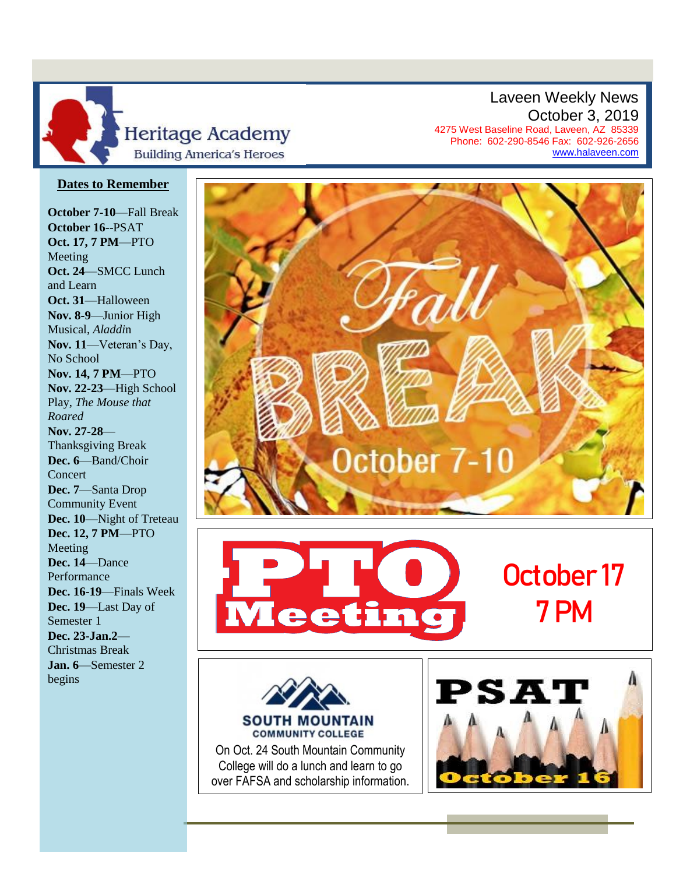

Laveen Weekly News October 3, 2019 4275 West Baseline Road, Laveen, AZ 85339 Phone: 602-290-8546 Fax: 602-926-2656

[www.halaveen.com](file:///C:/Users/bfarris/Documents/Weekly%20Annoucements/www.halaveen.com)

## **Dates to Remember**

**October 7-10**—Fall Break **October 16**--PSAT **Oct. 17, 7 PM**—PTO Meeting **Oct. 24**—SMCC Lunch and Learn **Oct. 31**—Halloween **Nov. 8-9**—Junior High Musical, *Aladdi*n **Nov. 11**—Veteran's Day, No School **Nov. 14, 7 PM**—PTO **Nov. 22-23**—High School Play, *The Mouse that Roared* **Nov. 27-28**— Thanksgiving Break **Dec. 6**—Band/Choir Concert **Dec. 7**—Santa Drop Community Event **Dec. 10**—Night of Treteau **Dec. 12, 7 PM**—PTO Meeting **Dec. 14**—Dance Performance **Dec. 16-19**—Finals Week **Dec. 19**—Last Day of Semester 1 **Dec. 23-Jan.2**— Christmas Break **Jan. 6**—Semester 2 begins



On Oct. 24 South Mountain Community College will do a lunch and learn to go over FAFSA and scholarship information.

**COMMUNITY COLLEGE** 

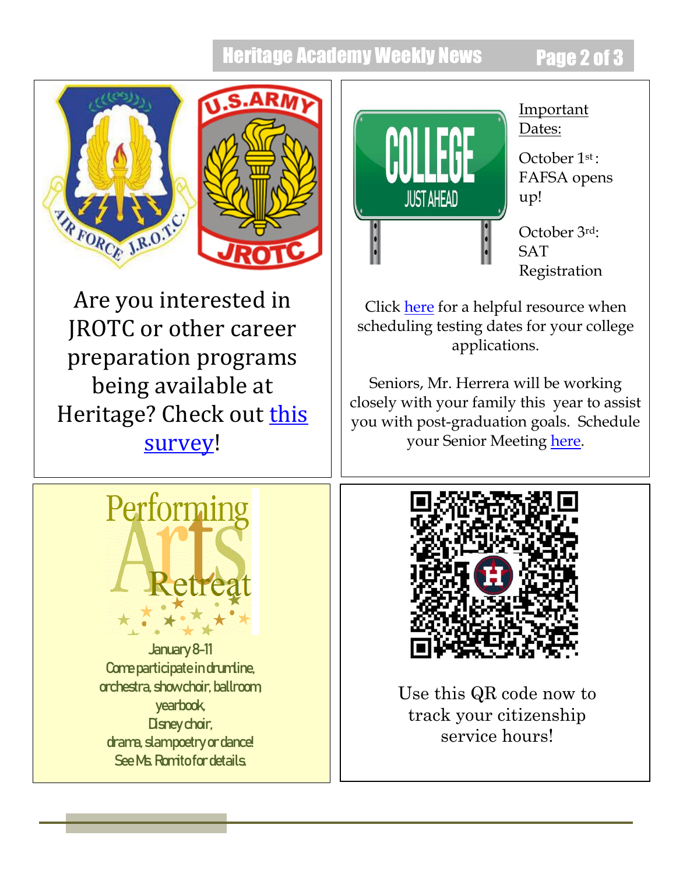## **Heritage Academy Weekly News Page 2 of 3**





Are you interested in JROTC or other career preparation programs being available at Heritage? Check out this [survey!](https://forms.gle/qda4MzS8MBHkLAhx7)



January 8-11 Come participate in drumline, orchestra, show choir, ballroom, yearbook, Disney choir, drama, slampoetry or dance! See Ms. Romitofor details.



## Important Dates:

October 1st : FAFSA opens up!

October 3rd: **SAT** Registration

Click [here](https://www.phoenixpubliclibrary.org/collegedepot/Documents/Resources/Let) for a helpful resource when scheduling testing dates for your college applications.

Seniors, Mr. Herrera will be working closely with your family this year to assist you with post-graduation goals. Schedule your Senior Meeting [here.](file:///C:/Users/bfarris/Documents/Weekly%20Annoucements/here)



Use this QR code now to track your citizenship service hours!